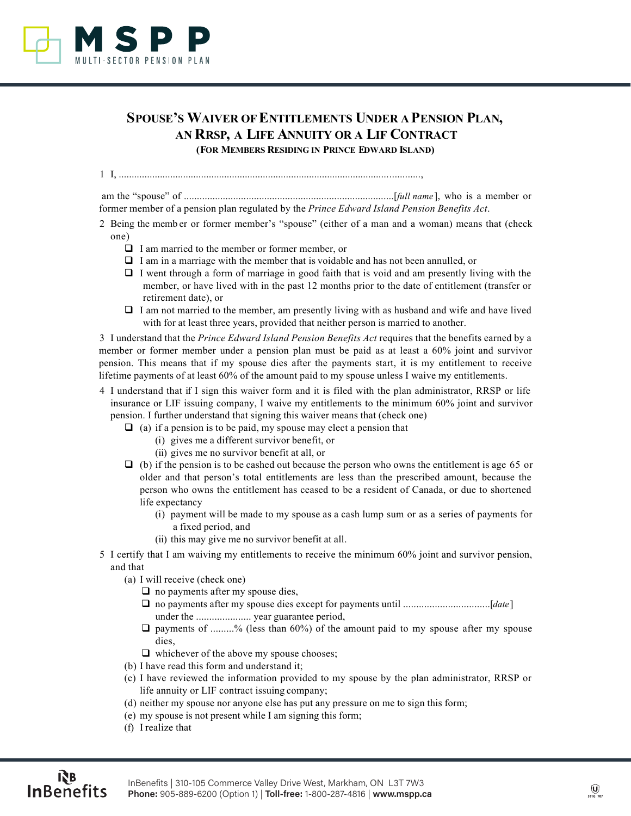

## **SPOUSE'S WAIVER OF ENTITLEMENTS UNDER A PENSION PLAN, AN RRSP, A LIFE ANNUITY OR A LIF CONTRACT (FOR MEMBERS RESIDING IN PRINCE EDWARD ISLAND)**

1 I, .....................................................................................................................,

 am the "spouse" of .................................................................................[*full name*], who is a member or former member of a pension plan regulated by the *Prince Edward Island Pension Benefits Act*.

- 2 Being the memb er or former member's "spouse" (either of a man and a woman) means that (check one)
	- $\Box$  I am married to the member or former member, or
	- $\Box$  I am in a marriage with the member that is voidable and has not been annulled, or
	- $\Box$  I went through a form of marriage in good faith that is void and am presently living with the member, or have lived with in the past 12 months prior to the date of entitlement (transfer or retirement date), or
	- $\Box$  I am not married to the member, am presently living with as husband and wife and have lived with for at least three years, provided that neither person is married to another.

3 I understand that the *Prince Edward Island Pension Benefits Act* requires that the benefits earned by a member or former member under a pension plan must be paid as at least a 60% joint and survivor pension. This means that if my spouse dies after the payments start, it is my entitlement to receive lifetime payments of at least 60% of the amount paid to my spouse unless I waive my entitlements.

- 4 I understand that if I sign this waiver form and it is filed with the plan administrator, RRSP or life insurance or LIF issuing company, I waive my entitlements to the minimum 60% joint and survivor pension. I further understand that signing this waiver means that (check one)
	- $\Box$  (a) if a pension is to be paid, my spouse may elect a pension that
		- (i) gives me a different survivor benefit, or
		- (ii) gives me no survivor benefit at all, or
	- $\Box$  (b) if the pension is to be cashed out because the person who owns the entitlement is age 65 or older and that person's total entitlements are less than the prescribed amount, because the person who owns the entitlement has ceased to be a resident of Canada, or due to shortened life expectancy
		- (i) payment will be made to my spouse as a cash lump sum or as a series of payments for a fixed period, and
		- (ii) this may give me no survivor benefit at all.
- 5 I certify that I am waiving my entitlements to receive the minimum 60% joint and survivor pension, and that
	- (a) I will receive (check one)
		- $\Box$  no payments after my spouse dies,
		- no payments after my spouse dies except for payments until .................................[*date*] under the ..................... year guarantee period,
		- $\Box$  payments of .........% (less than 60%) of the amount paid to my spouse after my spouse dies,
		- $\Box$  whichever of the above my spouse chooses;
	- (b) I have read this form and understand it;
	- (c) I have reviewed the information provided to my spouse by the plan administrator, RRSP or life annuity or LIF contract issuing company;
	- (d) neither my spouse nor anyone else has put any pressure on me to sign this form;
	- (e) my spouse is not present while I am signing this form;
	- (f) I realize that